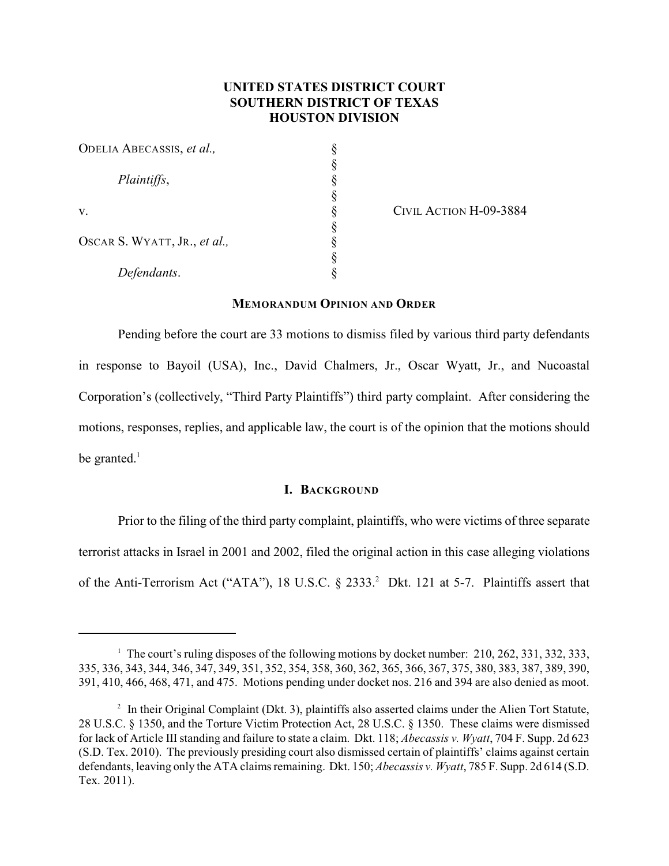# **UNITED STATES DISTRICT COURT SOUTHERN DISTRICT OF TEXAS HOUSTON DIVISION**

| ODELIA ABECASSIS, et al.,    |  |
|------------------------------|--|
|                              |  |
| Plaintiffs,                  |  |
|                              |  |
| V.                           |  |
| OSCAR S. WYATT, JR., et al., |  |
|                              |  |
|                              |  |
| Defendants.                  |  |

CIVIL ACTION H-09-3884

## **MEMORANDUM OPINION AND ORDER**

Pending before the court are 33 motions to dismiss filed by various third party defendants in response to Bayoil (USA), Inc., David Chalmers, Jr., Oscar Wyatt, Jr., and Nucoastal Corporation's (collectively, "Third Party Plaintiffs") third party complaint. After considering the motions, responses, replies, and applicable law, the court is of the opinion that the motions should be granted. $<sup>1</sup>$ </sup>

# **I. BACKGROUND**

Prior to the filing of the third party complaint, plaintiffs, who were victims of three separate terrorist attacks in Israel in 2001 and 2002, filed the original action in this case alleging violations of the Anti-Terrorism Act ("ATA"), 18 U.S.C.  $\S$  2333.<sup>2</sup> Dkt. 121 at 5-7. Plaintiffs assert that

<sup>&</sup>lt;sup>1</sup> The court's ruling disposes of the following motions by docket number: 210, 262, 331, 332, 333, 335, 336, 343, 344, 346, 347, 349, 351, 352, 354, 358, 360, 362, 365, 366, 367, 375, 380, 383, 387, 389, 390, 391, 410, 466, 468, 471, and 475. Motions pending under docket nos. 216 and 394 are also denied as moot.

 $\frac{1}{2}$  In their Original Complaint (Dkt. 3), plaintiffs also asserted claims under the Alien Tort Statute, 28 U.S.C. § 1350, and the Torture Victim Protection Act, 28 U.S.C. § 1350. These claims were dismissed for lack of Article IIIstanding and failure to state a claim. Dkt. 118; *Abecassis v. Wyatt*, 704 F. Supp. 2d 623 (S.D. Tex. 2010). The previously presiding court also dismissed certain of plaintiffs' claims against certain defendants, leaving only the ATA claims remaining. Dkt. 150; *Abecassis v. Wyatt*, 785 F. Supp. 2d 614 (S.D. Tex. 2011).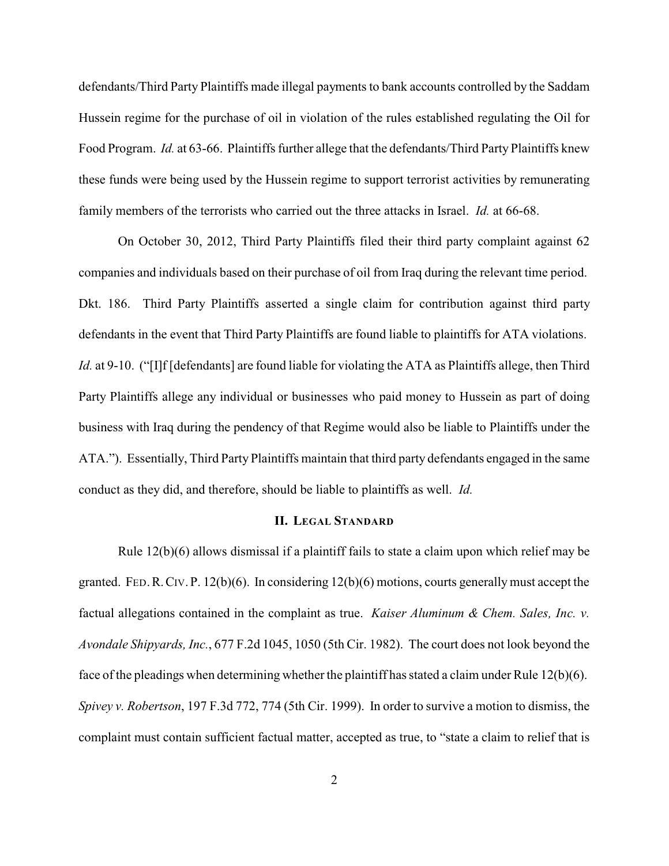defendants/Third Party Plaintiffs made illegal payments to bank accounts controlled by the Saddam Hussein regime for the purchase of oil in violation of the rules established regulating the Oil for Food Program. *Id.* at 63-66. Plaintiffs further allege that the defendants/Third Party Plaintiffs knew these funds were being used by the Hussein regime to support terrorist activities by remunerating family members of the terrorists who carried out the three attacks in Israel. *Id.* at 66-68.

On October 30, 2012, Third Party Plaintiffs filed their third party complaint against 62 companies and individuals based on their purchase of oil from Iraq during the relevant time period. Dkt. 186. Third Party Plaintiffs asserted a single claim for contribution against third party defendants in the event that Third Party Plaintiffs are found liable to plaintiffs for ATA violations. *Id.* at 9-10. ("I]f [defendants] are found liable for violating the ATA as Plaintiffs allege, then Third Party Plaintiffs allege any individual or businesses who paid money to Hussein as part of doing business with Iraq during the pendency of that Regime would also be liable to Plaintiffs under the ATA."). Essentially, Third Party Plaintiffs maintain that third party defendants engaged in the same conduct as they did, and therefore, should be liable to plaintiffs as well. *Id.*

## **II. LEGAL STANDARD**

Rule 12(b)(6) allows dismissal if a plaintiff fails to state a claim upon which relief may be granted. FED. R. CIV. P.  $12(b)(6)$ . In considering  $12(b)(6)$  motions, courts generally must accept the factual allegations contained in the complaint as true. *Kaiser Aluminum & Chem. Sales, Inc. v. Avondale Shipyards, Inc.*, 677 F.2d 1045, 1050 (5th Cir. 1982). The court does not look beyond the face of the pleadings when determining whether the plaintiff has stated a claim under Rule  $12(b)(6)$ . *Spivey v. Robertson*, 197 F.3d 772, 774 (5th Cir. 1999). In order to survive a motion to dismiss, the complaint must contain sufficient factual matter, accepted as true, to "state a claim to relief that is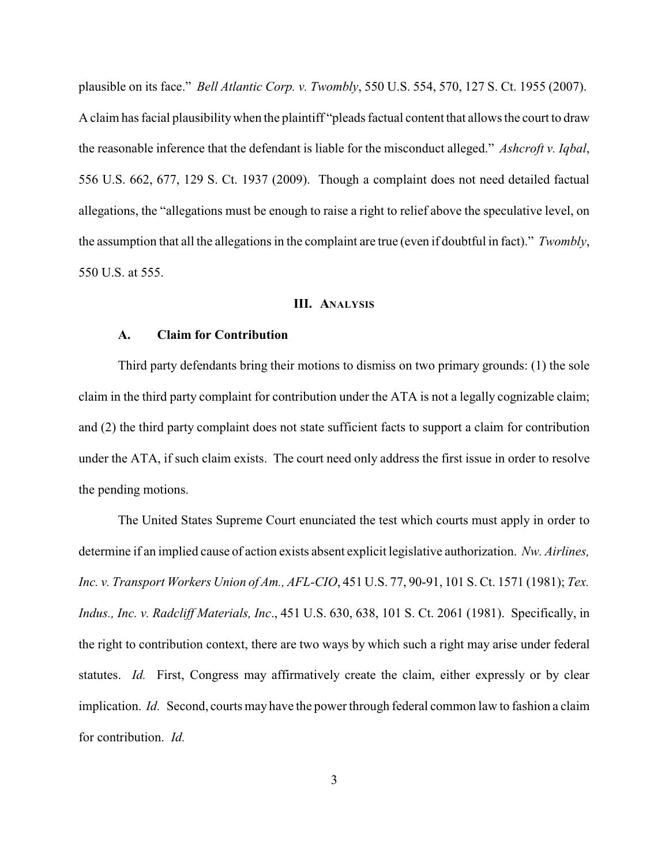plausible on its face." *Bell Atlantic Corp. v. Twombly*, 550 U.S. 554, 570, 127 S. Ct. 1955 (2007). A claim has facial plausibilitywhen the plaintiff "pleads factual content that allows the court to draw the reasonable inference that the defendant is liable for the misconduct alleged." *Ashcroft v. Iqbal*, 556 U.S. 662, 677, 129 S. Ct. 1937 (2009). Though a complaint does not need detailed factual allegations, the "allegations must be enough to raise a right to relief above the speculative level, on the assumption that all the allegations in the complaint are true (even if doubtful in fact)." *Twombly*, 550 U.S. at 555.

## **III. ANALYSIS**

# **A. Claim for Contribution**

Third party defendants bring their motions to dismiss on two primary grounds: (1) the sole claim in the third party complaint for contribution under the ATA is not a legally cognizable claim; and (2) the third party complaint does not state sufficient facts to support a claim for contribution under the ATA, if such claim exists. The court need only address the first issue in order to resolve the pending motions.

The United States Supreme Court enunciated the test which courts must apply in order to determine if an implied cause of action exists absent explicit legislative authorization. *Nw. Airlines, Inc. v. Transport Workers Union of Am., AFL-CIO*, 451 U.S. 77, 90-91, 101 S. Ct. 1571 (1981); *Tex. Indus., Inc. v. Radcliff Materials, Inc*., 451 U.S. 630, 638, 101 S. Ct. 2061 (1981). Specifically, in the right to contribution context, there are two ways by which such a right may arise under federal statutes. *Id.* First, Congress may affirmatively create the claim, either expressly or by clear implication. *Id.* Second, courts may have the power through federal common law to fashion a claim for contribution. *Id.*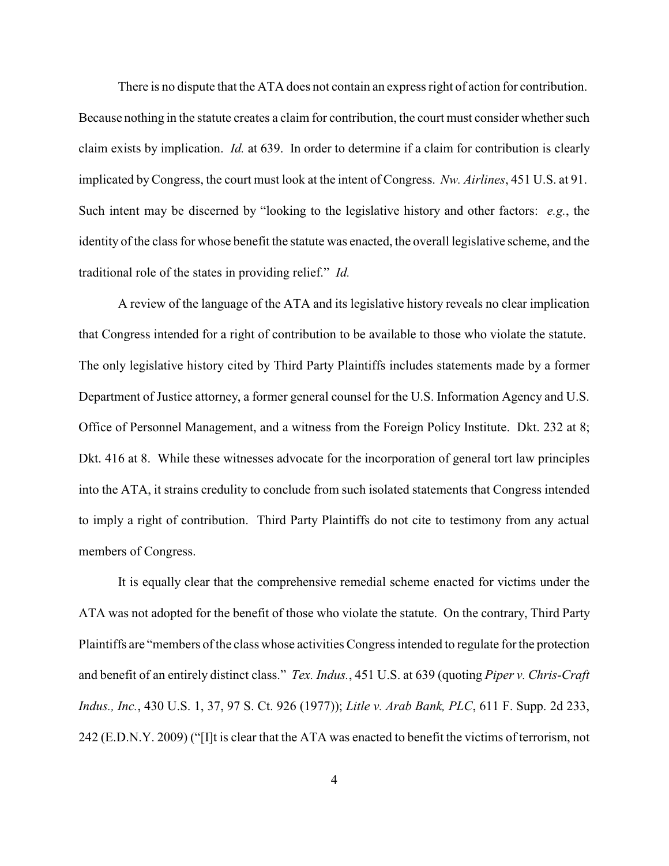There is no dispute that the ATA does not contain an express right of action for contribution. Because nothing in the statute creates a claim for contribution, the court must consider whether such claim exists by implication. *Id.* at 639. In order to determine if a claim for contribution is clearly implicated byCongress, the court must look at the intent of Congress. *Nw. Airlines*, 451 U.S. at 91. Such intent may be discerned by "looking to the legislative history and other factors: *e.g.*, the identity of the class for whose benefit the statute was enacted, the overall legislative scheme, and the traditional role of the states in providing relief." *Id.*

A review of the language of the ATA and its legislative history reveals no clear implication that Congress intended for a right of contribution to be available to those who violate the statute. The only legislative history cited by Third Party Plaintiffs includes statements made by a former Department of Justice attorney, a former general counsel for the U.S. Information Agency and U.S. Office of Personnel Management, and a witness from the Foreign Policy Institute. Dkt. 232 at 8; Dkt. 416 at 8. While these witnesses advocate for the incorporation of general tort law principles into the ATA, it strains credulity to conclude from such isolated statements that Congress intended to imply a right of contribution. Third Party Plaintiffs do not cite to testimony from any actual members of Congress.

It is equally clear that the comprehensive remedial scheme enacted for victims under the ATA was not adopted for the benefit of those who violate the statute. On the contrary, Third Party Plaintiffs are "members of the class whose activities Congress intended to regulate for the protection and benefit of an entirely distinct class." *Tex. Indus.*, 451 U.S. at 639 (quoting *Piper v. Chris-Craft Indus., Inc.*, 430 U.S. 1, 37, 97 S. Ct. 926 (1977)); *Litle v. Arab Bank, PLC*, 611 F. Supp. 2d 233, 242 (E.D.N.Y. 2009) ("[I]t is clear that the ATA was enacted to benefit the victims of terrorism, not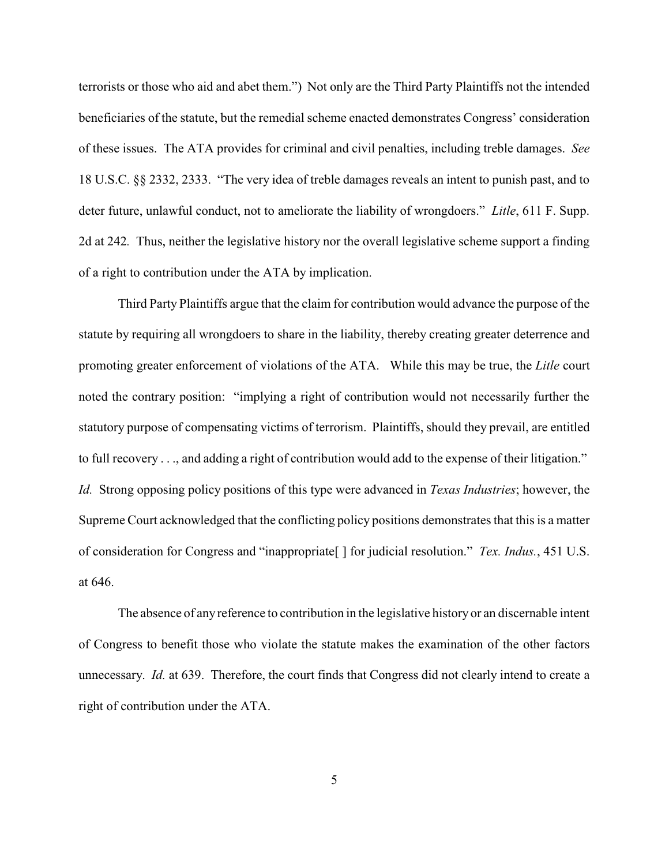terrorists or those who aid and abet them.") Not only are the Third Party Plaintiffs not the intended beneficiaries of the statute, but the remedial scheme enacted demonstrates Congress' consideration of these issues. The ATA provides for criminal and civil penalties, including treble damages. *See* 18 U.S.C. §§ 2332, 2333. "The very idea of treble damages reveals an intent to punish past, and to deter future, unlawful conduct, not to ameliorate the liability of wrongdoers." *Litle*, 611 F. Supp. 2d at 242*.* Thus, neither the legislative history nor the overall legislative scheme support a finding of a right to contribution under the ATA by implication.

Third Party Plaintiffs argue that the claim for contribution would advance the purpose of the statute by requiring all wrongdoers to share in the liability, thereby creating greater deterrence and promoting greater enforcement of violations of the ATA. While this may be true, the *Litle* court noted the contrary position: "implying a right of contribution would not necessarily further the statutory purpose of compensating victims of terrorism. Plaintiffs, should they prevail, are entitled to full recovery . . ., and adding a right of contribution would add to the expense of their litigation." *Id.* Strong opposing policy positions of this type were advanced in *Texas Industries*; however, the Supreme Court acknowledged that the conflicting policy positions demonstrates that this is a matter of consideration for Congress and "inappropriate[ ] for judicial resolution." *Tex. Indus.*, 451 U.S. at 646.

The absence of anyreference to contribution in the legislative history or an discernable intent of Congress to benefit those who violate the statute makes the examination of the other factors unnecessary. *Id.* at 639. Therefore, the court finds that Congress did not clearly intend to create a right of contribution under the ATA.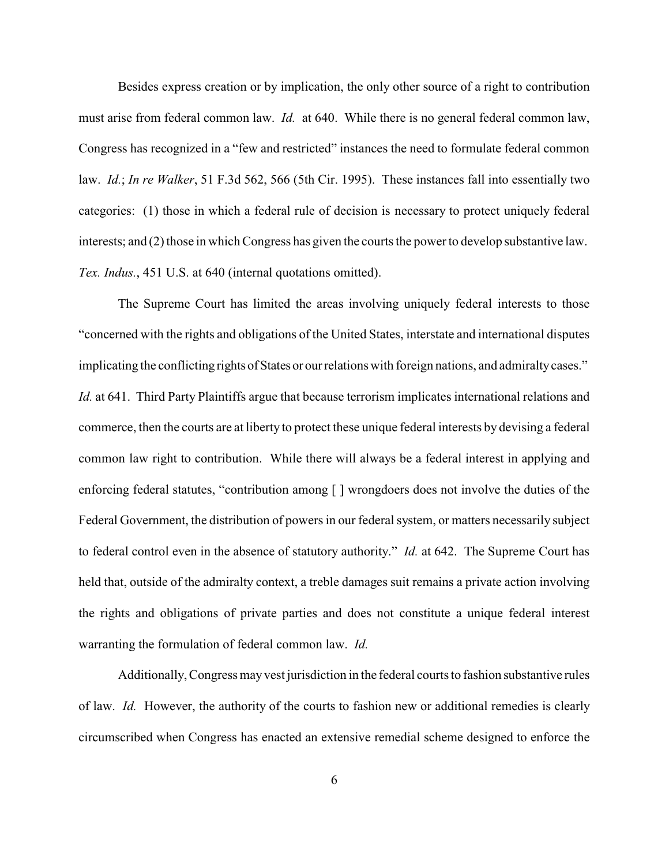Besides express creation or by implication, the only other source of a right to contribution must arise from federal common law. *Id.* at 640. While there is no general federal common law, Congress has recognized in a "few and restricted" instances the need to formulate federal common law. *Id.*; *In re Walker*, 51 F.3d 562, 566 (5th Cir. 1995). These instances fall into essentially two categories: (1) those in which a federal rule of decision is necessary to protect uniquely federal interests; and (2) those in which Congress has given the courts the powerto develop substantive law. *Tex. Indus.*, 451 U.S. at 640 (internal quotations omitted).

The Supreme Court has limited the areas involving uniquely federal interests to those "concerned with the rights and obligations of the United States, interstate and international disputes implicating the conflicting rights of States or our relations with foreign nations, and admiralty cases." *Id.* at 641. Third Party Plaintiffs argue that because terrorism implicates international relations and commerce, then the courts are at liberty to protect these unique federal interests by devising a federal common law right to contribution. While there will always be a federal interest in applying and enforcing federal statutes, "contribution among [ ] wrongdoers does not involve the duties of the Federal Government, the distribution of powers in our federal system, or matters necessarily subject to federal control even in the absence of statutory authority." *Id.* at 642. The Supreme Court has held that, outside of the admiralty context, a treble damages suit remains a private action involving the rights and obligations of private parties and does not constitute a unique federal interest warranting the formulation of federal common law. *Id.* 

Additionally, Congress mayvest jurisdiction in the federal courts to fashion substantive rules of law. *Id.* However, the authority of the courts to fashion new or additional remedies is clearly circumscribed when Congress has enacted an extensive remedial scheme designed to enforce the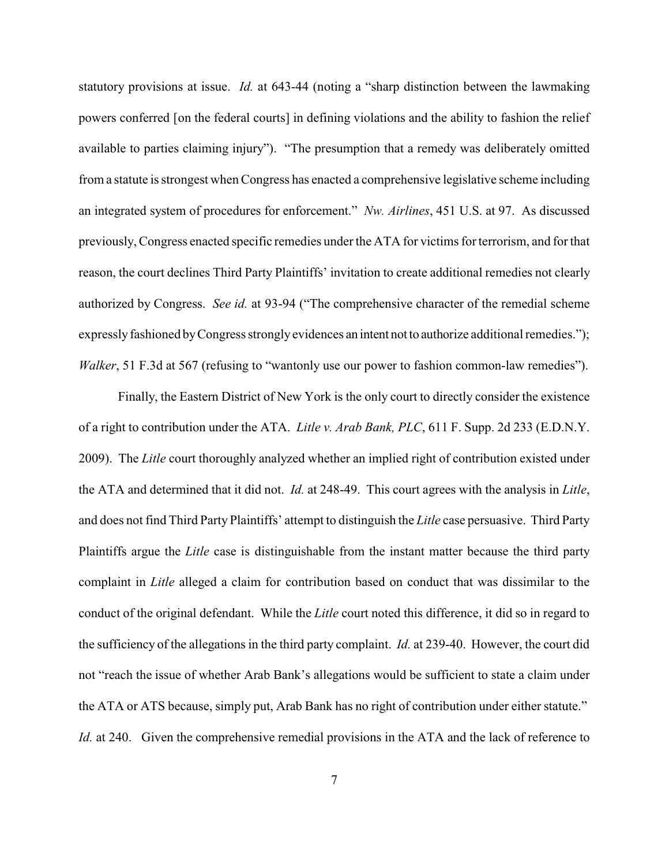statutory provisions at issue. *Id.* at 643-44 (noting a "sharp distinction between the lawmaking powers conferred [on the federal courts] in defining violations and the ability to fashion the relief available to parties claiming injury"). "The presumption that a remedy was deliberately omitted from a statute is strongest when Congress has enacted a comprehensive legislative scheme including an integrated system of procedures for enforcement." *Nw. Airlines*, 451 U.S. at 97. As discussed previously, Congress enacted specific remedies under the ATA for victims for terrorism, and for that reason, the court declines Third Party Plaintiffs' invitation to create additional remedies not clearly authorized by Congress. *See id.* at 93-94 ("The comprehensive character of the remedial scheme expresslyfashioned byCongress stronglyevidences an intent not to authorize additional remedies."); *Walker*, 51 F.3d at 567 (refusing to "wantonly use our power to fashion common-law remedies").

Finally, the Eastern District of New York is the only court to directly consider the existence of a right to contribution under the ATA. *Litle v. Arab Bank, PLC*, 611 F. Supp. 2d 233 (E.D.N.Y. 2009). The *Litle* court thoroughly analyzed whether an implied right of contribution existed under the ATA and determined that it did not. *Id.* at 248-49. This court agrees with the analysis in *Litle*, and does not find Third Party Plaintiffs' attempt to distinguish the *Litle* case persuasive. Third Party Plaintiffs argue the *Litle* case is distinguishable from the instant matter because the third party complaint in *Litle* alleged a claim for contribution based on conduct that was dissimilar to the conduct of the original defendant. While the *Litle* court noted this difference, it did so in regard to the sufficiency of the allegations in the third party complaint. *Id.* at 239-40. However, the court did not "reach the issue of whether Arab Bank's allegations would be sufficient to state a claim under the ATA or ATS because, simply put, Arab Bank has no right of contribution under either statute." *Id.* at 240. Given the comprehensive remedial provisions in the ATA and the lack of reference to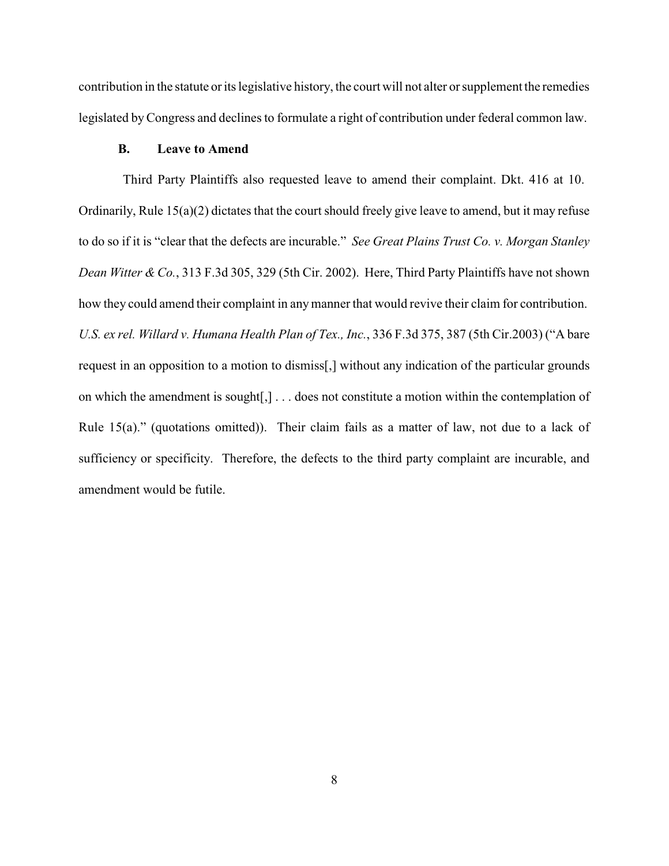contribution in the statute or its legislative history, the court will not alter or supplement the remedies legislated byCongress and declines to formulate a right of contribution under federal common law.

## **B. Leave to Amend**

Third Party Plaintiffs also requested leave to amend their complaint. Dkt. 416 at 10. Ordinarily, Rule 15(a)(2) dictates that the court should freely give leave to amend, but it may refuse to do so if it is "clear that the defects are incurable." *See Great Plains Trust Co. v. Morgan Stanley Dean Witter & Co.*, 313 F.3d 305, 329 (5th Cir. 2002). Here, Third Party Plaintiffs have not shown how they could amend their complaint in anymanner that would revive their claim for contribution. *U.S. ex rel. Willard v. Humana Health Plan of Tex., Inc.*, 336 F.3d 375, 387 (5th Cir.2003) ("A bare request in an opposition to a motion to dismiss[,] without any indication of the particular grounds on which the amendment is sought[,] . . . does not constitute a motion within the contemplation of Rule 15(a)." (quotations omitted)). Their claim fails as a matter of law, not due to a lack of sufficiency or specificity. Therefore, the defects to the third party complaint are incurable, and amendment would be futile.